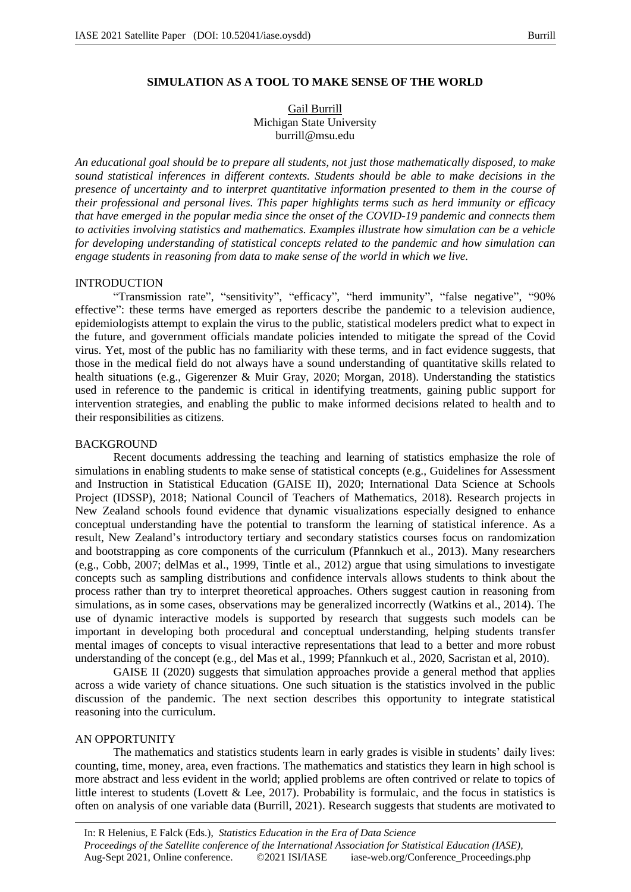## **SIMULATION AS A TOOL TO MAKE SENSE OF THE WORLD**

Gail Burrill Michigan State University burrill@msu.edu

*An educational goal should be to prepare all students, not just those mathematically disposed, to make sound statistical inferences in different contexts. Students should be able to make decisions in the presence of uncertainty and to interpret quantitative information presented to them in the course of their professional and personal lives. This paper highlights terms such as herd immunity or efficacy that have emerged in the popular media since the onset of the COVID-19 pandemic and connects them to activities involving statistics and mathematics. Examples illustrate how simulation can be a vehicle for developing understanding of statistical concepts related to the pandemic and how simulation can engage students in reasoning from data to make sense of the world in which we live.*

### INTRODUCTION

"Transmission rate", "sensitivity", "efficacy", "herd immunity", "false negative", "90% effective": these terms have emerged as reporters describe the pandemic to a television audience, epidemiologists attempt to explain the virus to the public, statistical modelers predict what to expect in the future, and government officials mandate policies intended to mitigate the spread of the Covid virus. Yet, most of the public has no familiarity with these terms, and in fact evidence suggests, that those in the medical field do not always have a sound understanding of quantitative skills related to health situations (e.g., Gigerenzer & Muir Gray, 2020; Morgan, 2018). Understanding the statistics used in reference to the pandemic is critical in identifying treatments, gaining public support for intervention strategies, and enabling the public to make informed decisions related to health and to their responsibilities as citizens.

#### BACKGROUND

Recent documents addressing the teaching and learning of statistics emphasize the role of simulations in enabling students to make sense of statistical concepts (e.g., Guidelines for Assessment and Instruction in Statistical Education (GAISE II), 2020; International Data Science at Schools Project (IDSSP), 2018; National Council of Teachers of Mathematics, 2018). Research projects in New Zealand schools found evidence that dynamic visualizations especially designed to enhance conceptual understanding have the potential to transform the learning of statistical inference. As a result, New Zealand's introductory tertiary and secondary statistics courses focus on randomization and bootstrapping as core components of the curriculum (Pfannkuch et al., 2013). Many researchers (e,g., Cobb, 2007; delMas et al., 1999, Tintle et al., 2012) argue that using simulations to investigate concepts such as sampling distributions and confidence intervals allows students to think about the process rather than try to interpret theoretical approaches. Others suggest caution in reasoning from simulations, as in some cases, observations may be generalized incorrectly (Watkins et al., 2014). The use of dynamic interactive models is supported by research that suggests such models can be important in developing both procedural and conceptual understanding, helping students transfer mental images of concepts to visual interactive representations that lead to a better and more robust understanding of the concept (e.g., del Mas et al., 1999; Pfannkuch et al., 2020, Sacristan et al, 2010).

GAISE II (2020) suggests that simulation approaches provide a general method that applies across a wide variety of chance situations. One such situation is the statistics involved in the public discussion of the pandemic. The next section describes this opportunity to integrate statistical reasoning into the curriculum.

## AN OPPORTUNITY

The mathematics and statistics students learn in early grades is visible in students' daily lives: counting, time, money, area, even fractions. The mathematics and statistics they learn in high school is more abstract and less evident in the world; applied problems are often contrived or relate to topics of little interest to students (Lovett & Lee, 2017). Probability is formulaic, and the focus in statistics is often on analysis of one variable data (Burrill, 2021). Research suggests that students are motivated to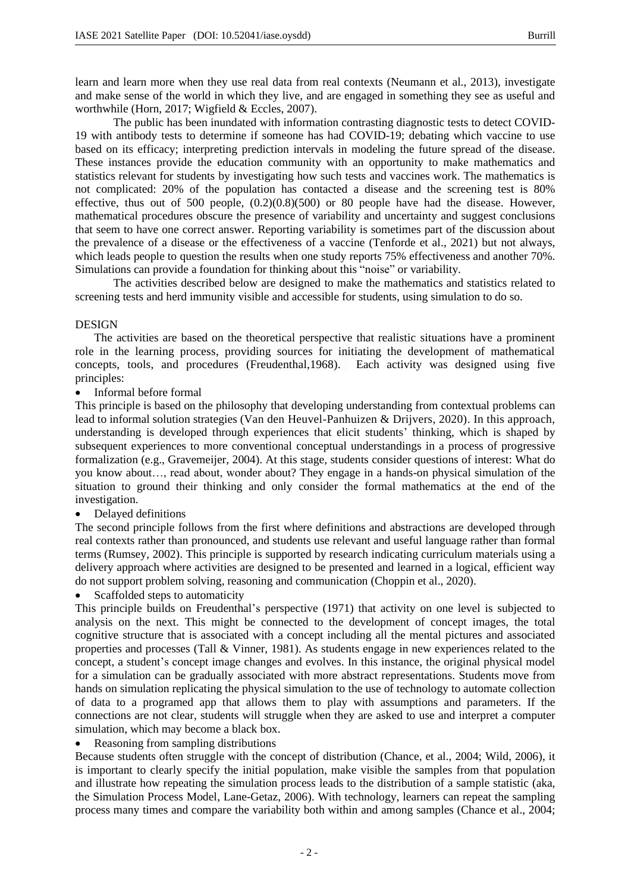learn and learn more when they use real data from real contexts (Neumann et al., 2013), investigate and make sense of the world in which they live, and are engaged in something they see as useful and worthwhile (Horn, 2017; Wigfield & Eccles, 2007).

The public has been inundated with information contrasting diagnostic tests to detect COVID-19 with antibody tests to determine if someone has had COVID-19; debating which vaccine to use based on its efficacy; interpreting prediction intervals in modeling the future spread of the disease. These instances provide the education community with an opportunity to make mathematics and statistics relevant for students by investigating how such tests and vaccines work. The mathematics is not complicated: 20% of the population has contacted a disease and the screening test is 80% effective, thus out of 500 people, (0.2)(0.8)(500) or 80 people have had the disease. However, mathematical procedures obscure the presence of variability and uncertainty and suggest conclusions that seem to have one correct answer. Reporting variability is sometimes part of the discussion about the prevalence of a disease or the effectiveness of a vaccine (Tenforde et al., 2021) but not always, which leads people to question the results when one study reports 75% effectiveness and another 70%. Simulations can provide a foundation for thinking about this "noise" or variability.

The activities described below are designed to make the mathematics and statistics related to screening tests and herd immunity visible and accessible for students, using simulation to do so.

# DESIGN

The activities are based on the theoretical perspective that realistic situations have a prominent role in the learning process, providing sources for initiating the development of mathematical concepts, tools, and procedures (Freudenthal,1968). Each activity was designed using five principles:

• Informal before formal

This principle is based on the philosophy that developing understanding from contextual problems can lead to informal solution strategies (Van den Heuvel-Panhuizen & Drijvers, 2020). In this approach, understanding is developed through experiences that elicit students' thinking, which is shaped by subsequent experiences to more conventional conceptual understandings in a process of progressive formalization (e.g., Gravemeijer, 2004). At this stage, students consider questions of interest: What do you know about…, read about, wonder about? They engage in a hands-on physical simulation of the situation to ground their thinking and only consider the formal mathematics at the end of the investigation.

• Delayed definitions

The second principle follows from the first where definitions and abstractions are developed through real contexts rather than pronounced, and students use relevant and useful language rather than formal terms (Rumsey, 2002). This principle is supported by research indicating curriculum materials using a delivery approach where activities are designed to be presented and learned in a logical, efficient way do not support problem solving, reasoning and communication (Choppin et al., 2020).

Scaffolded steps to automaticity

This principle builds on Freudenthal's perspective (1971) that activity on one level is subjected to analysis on the next. This might be connected to the development of concept images, the total cognitive structure that is associated with a concept including all the mental pictures and associated properties and processes (Tall & Vinner, 1981). As students engage in new experiences related to the concept, a student's concept image changes and evolves. In this instance, the original physical model for a simulation can be gradually associated with more abstract representations. Students move from hands on simulation replicating the physical simulation to the use of technology to automate collection of data to a programed app that allows them to play with assumptions and parameters. If the connections are not clear, students will struggle when they are asked to use and interpret a computer simulation, which may become a black box.

• Reasoning from sampling distributions

Because students often struggle with the concept of distribution (Chance, et al., 2004; Wild, 2006), it is important to clearly specify the initial population, make visible the samples from that population and illustrate how repeating the simulation process leads to the distribution of a sample statistic (aka, the Simulation Process Model, Lane-Getaz, 2006). With technology, learners can repeat the sampling process many times and compare the variability both within and among samples (Chance et al., 2004;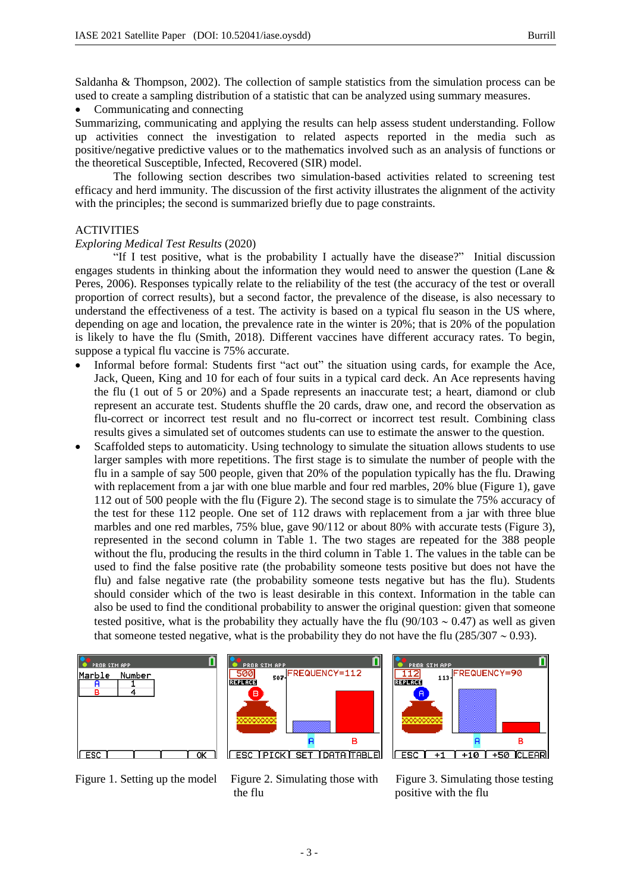Saldanha & Thompson, 2002). The collection of sample statistics from the simulation process can be used to create a sampling distribution of a statistic that can be analyzed using summary measures.

• Communicating and connecting

Summarizing, communicating and applying the results can help assess student understanding. Follow up activities connect the investigation to related aspects reported in the media such as positive/negative predictive values or to the mathematics involved such as an analysis of functions or the theoretical Susceptible, Infected, Recovered (SIR) model.

The following section describes two simulation-based activities related to screening test efficacy and herd immunity. The discussion of the first activity illustrates the alignment of the activity with the principles; the second is summarized briefly due to page constraints.

# ACTIVITIES

# *Exploring Medical Test Results* (2020)

"If I test positive, what is the probability I actually have the disease?" Initial discussion engages students in thinking about the information they would need to answer the question (Lane  $\&$ Peres, 2006). Responses typically relate to the reliability of the test (the accuracy of the test or overall proportion of correct results), but a second factor, the prevalence of the disease, is also necessary to understand the effectiveness of a test. The activity is based on a typical flu season in the US where, depending on age and location, the prevalence rate in the winter is 20%; that is 20% of the population is likely to have the flu (Smith, 2018). Different vaccines have different accuracy rates. To begin, suppose a typical flu vaccine is 75% accurate.

- Informal before formal: Students first "act out" the situation using cards, for example the Ace, Jack, Queen, King and 10 for each of four suits in a typical card deck. An Ace represents having the flu (1 out of 5 or 20%) and a Spade represents an inaccurate test; a heart, diamond or club represent an accurate test. Students shuffle the 20 cards, draw one, and record the observation as flu-correct or incorrect test result and no flu-correct or incorrect test result. Combining class results gives a simulated set of outcomes students can use to estimate the answer to the question.
- Scaffolded steps to automaticity. Using technology to simulate the situation allows students to use larger samples with more repetitions. The first stage is to simulate the number of people with the flu in a sample of say 500 people, given that 20% of the population typically has the flu. Drawing with replacement from a jar with one blue marble and four red marbles, 20% blue (Figure 1), gave 112 out of 500 people with the flu (Figure 2). The second stage is to simulate the 75% accuracy of the test for these 112 people. One set of 112 draws with replacement from a jar with three blue marbles and one red marbles, 75% blue, gave 90/112 or about 80% with accurate tests (Figure 3), represented in the second column in Table 1. The two stages are repeated for the 388 people without the flu, producing the results in the third column in Table 1. The values in the table can be used to find the false positive rate (the probability someone tests positive but does not have the flu) and false negative rate (the probability someone tests negative but has the flu). Students should consider which of the two is least desirable in this context. Information in the table can also be used to find the conditional probability to answer the original question: given that someone tested positive, what is the probability they actually have the flu  $(90/103 \sim 0.47)$  as well as given that someone tested negative, what is the probability they do not have the flu (285/307  $\sim$  0.93).







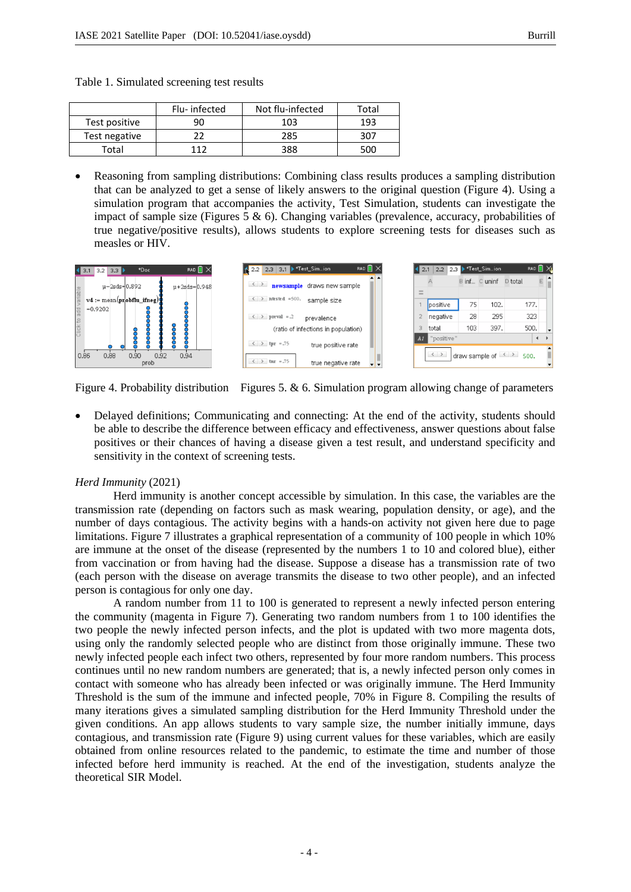|               | Flu- infected | Not flu-infected | Total |
|---------------|---------------|------------------|-------|
| Test positive | 90            | 103              | 193   |
| Test negative |               | 285              | 307   |
| Total         | 117           | 388              | 500   |

- Table 1. Simulated screening test results
- Reasoning from sampling distributions: Combining class results produces a sampling distribution that can be analyzed to get a sense of likely answers to the original question (Figure 4). Using a simulation program that accompanies the activity, Test Simulation, students can investigate the impact of sample size (Figures 5  $\&$  6). Changing variables (prevalence, accuracy, probabilities of true negative/positive results), allows students to explore screening tests for diseases such as measles or HIV.



Figure 4. Probability distribution Figures 5. & 6. Simulation program allowing change of parameters

• Delayed definitions; Communicating and connecting: At the end of the activity, students should be able to describe the difference between efficacy and effectiveness, answer questions about false positives or their chances of having a disease given a test result, and understand specificity and sensitivity in the context of screening tests.

# *Herd Immunity* (2021)

Herd immunity is another concept accessible by simulation. In this case, the variables are the transmission rate (depending on factors such as mask wearing, population density, or age), and the number of days contagious. The activity begins with a hands-on activity not given here due to page limitations. Figure 7 illustrates a graphical representation of a community of 100 people in which 10% are immune at the onset of the disease (represented by the numbers 1 to 10 and colored blue), either from vaccination or from having had the disease. Suppose a disease has a transmission rate of two (each person with the disease on average transmits the disease to two other people), and an infected person is contagious for only one day.

A random number from 11 to 100 is generated to represent a newly infected person entering the community (magenta in Figure 7). Generating two random numbers from 1 to 100 identifies the two people the newly infected person infects, and the plot is updated with two more magenta dots, using only the randomly selected people who are distinct from those originally immune. These two newly infected people each infect two others, represented by four more random numbers. This process continues until no new random numbers are generated; that is, a newly infected person only comes in contact with someone who has already been infected or was originally immune. The Herd Immunity Threshold is the sum of the immune and infected people, 70% in Figure 8. Compiling the results of many iterations gives a simulated sampling distribution for the Herd Immunity Threshold under the given conditions. An app allows students to vary sample size, the number initially immune, days contagious, and transmission rate (Figure 9) using current values for these variables, which are easily obtained from online resources related to the pandemic, to estimate the time and number of those infected before herd immunity is reached. At the end of the investigation, students analyze the theoretical SIR Model.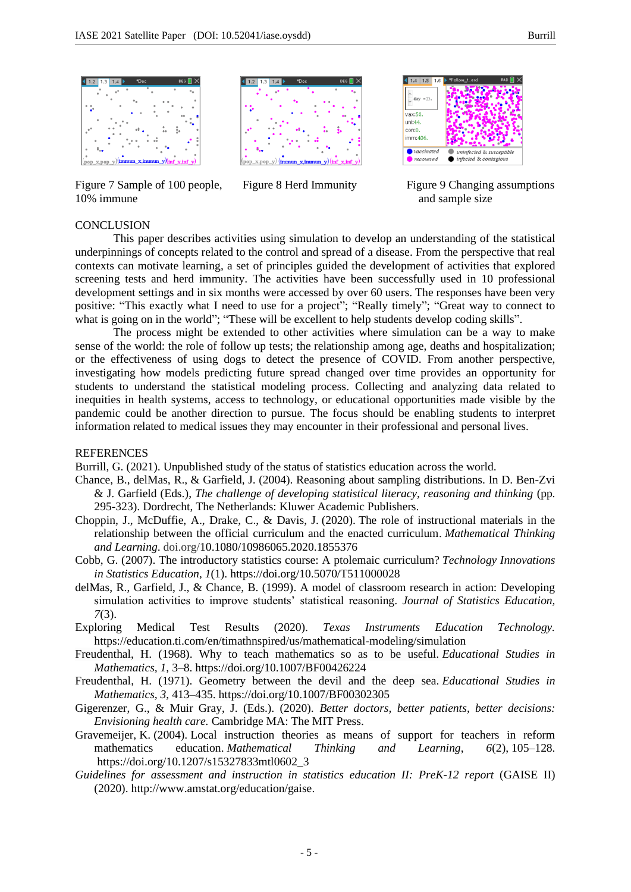

Figure 7 Sample of 100 people, Figure 8 Herd Immunity Figure 9 Changing assumptions 10% immune and sample size





### **CONCLUSION**

This paper describes activities using simulation to develop an understanding of the statistical underpinnings of concepts related to the control and spread of a disease. From the perspective that real contexts can motivate learning, a set of principles guided the development of activities that explored screening tests and herd immunity. The activities have been successfully used in 10 professional development settings and in six months were accessed by over 60 users. The responses have been very positive: "This exactly what I need to use for a project"; "Really timely"; "Great way to connect to what is going on in the world"; "These will be excellent to help students develop coding skills".

The process might be extended to other activities where simulation can be a way to make sense of the world: the role of follow up tests; the relationship among age, deaths and hospitalization; or the effectiveness of using dogs to detect the presence of COVID. From another perspective, investigating how models predicting future spread changed over time provides an opportunity for students to understand the statistical modeling process. Collecting and analyzing data related to inequities in health systems, access to technology, or educational opportunities made visible by the pandemic could be another direction to pursue. The focus should be enabling students to interpret information related to medical issues they may encounter in their professional and personal lives.

### REFERENCES

Burrill, G. (2021). Unpublished study of the status of statistics education across the world.

- Chance, B., delMas, R., & Garfield, J. (2004). Reasoning about sampling distributions. In D. Ben-Zvi & J. Garfield (Eds.), *The challenge of developing statistical literacy, reasoning and thinking* (pp. 295-323). Dordrecht, The Netherlands: Kluwer Academic Publishers.
- Choppin, J., McDuffie, A., Drake, C., & Davis, J. (2020). The role of instructional materials in the relationship between the official curriculum and the enacted curriculum. *Mathematical Thinking and Learning*. doi.org/10.1080/10986065.2020.1855376
- Cobb, G. (2007). The introductory statistics course: A ptolemaic curriculum? *Technology Innovations in Statistics Education, 1*(1). https://doi.org/10.5070/T511000028
- delMas, R., Garfield, J., & Chance, B. (1999). A model of classroom research in action: Developing simulation activities to improve students' statistical reasoning. *Journal of Statistics Education, 7*(3).
- Exploring Medical Test Results (2020). *Texas Instruments Education Technology.* https://education.ti.com/en/timathnspired/us/mathematical-modeling/simulation
- Freudenthal, H. (1968). Why to teach mathematics so as to be useful. *Educational Studies in Mathematics, 1*, 3–8. https://doi.org/10.1007/BF00426224
- Freudenthal, H. (1971). Geometry between the devil and the deep sea. *Educational Studies in Mathematics, 3*, 413–435. https://doi.org/10.1007/BF00302305
- Gigerenzer, G., & Muir Gray, J. (Eds.). (2020). *Better doctors, better patients, better decisions: Envisioning health care.* Cambridge MA: The MIT Press.
- Gravemeijer, K. (2004). Local instruction theories as means of support for teachers in reform mathematics education. *Mathematical Thinking and Learning*, *6*(2), 105–128. https://doi.org/10.1207/s15327833mtl0602\_3
- *Guidelines for assessment and instruction in statistics education II: PreK-12 report* (GAISE II) (2020). http://www.amstat.org/education/gaise.